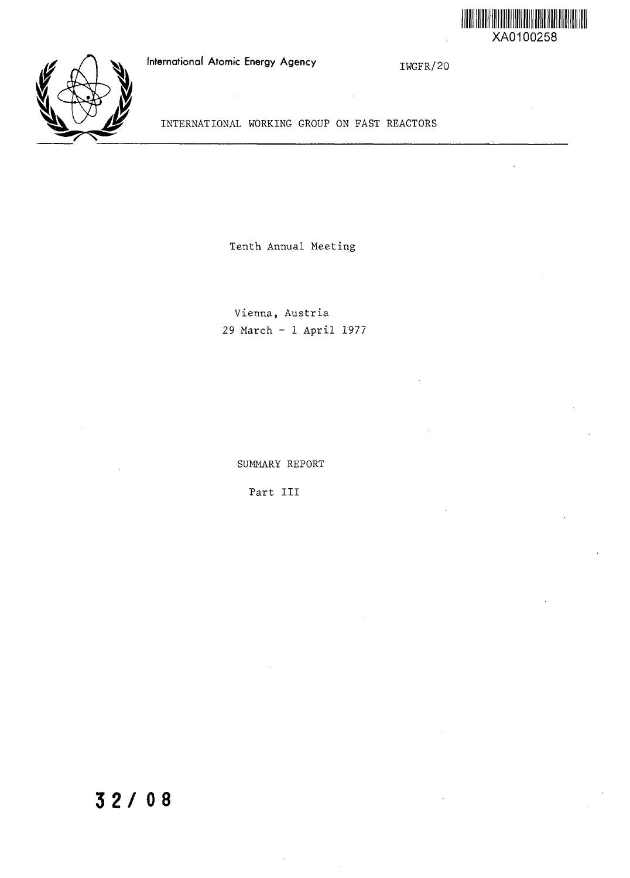

## International Atomic Energy Agency

IWGFR/20



INTERNATIONAL WORKING GROUP ON FAST REACTORS

Tenth Annual Meeting

Vienna, Austria 29 March - 1 April 1977

SUMMARY REPORT

Part III

# **3 2 / 08**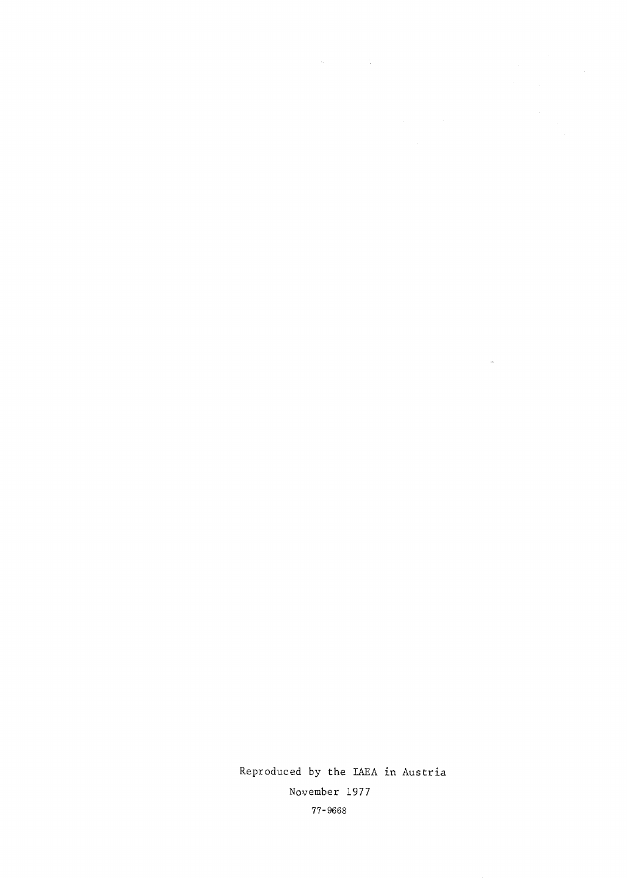Reproduced by the IAEA in Austria November 1977 77-9668

 $\mathbb{Z}^{\mathbb{Z}}$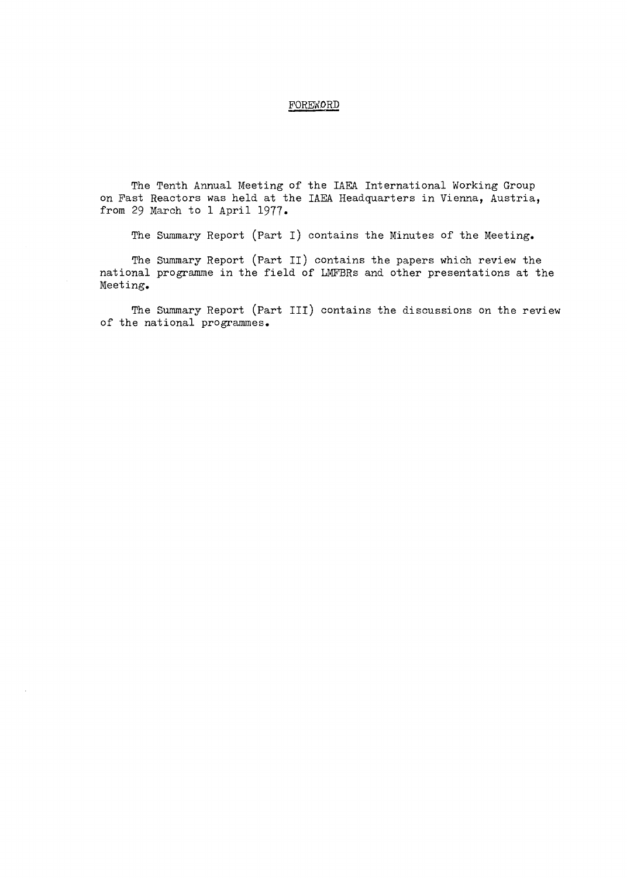### FOREWORD

The Tenth Annual Meeting of the IAEA International Working Group on Past Reactors was held at the IAEA Headquarters in Vienna, Austria, from 29 March to 1 April 1977.

The Summary Report (Part I) contains the Minutes of the Meeting.

The Summary Report (Part II) contains the papers which review the national programme in the field of LMFBRs and other presentations at the Meeting.

The Summary Report (Part III) contains the discussions on the review of the national programmes.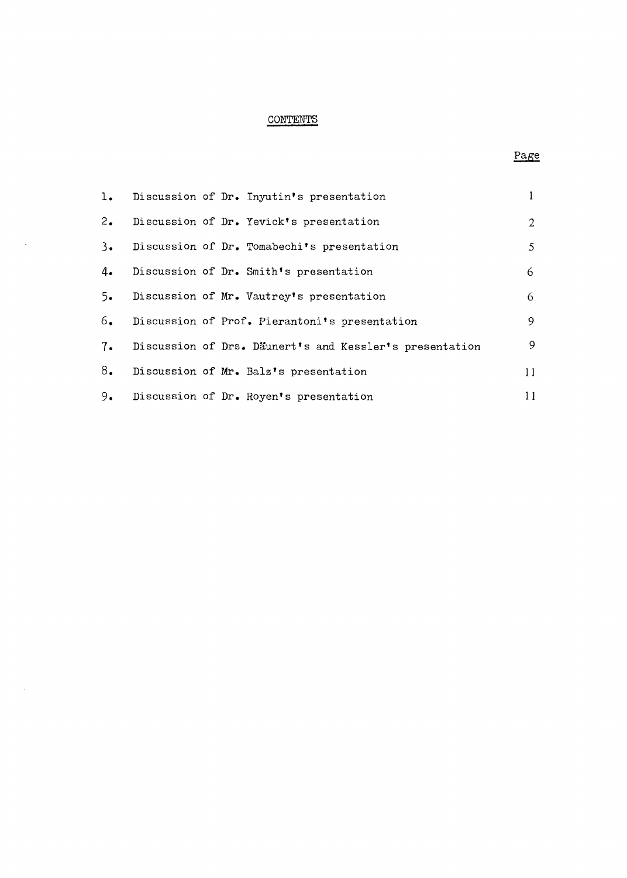## **CONTENTS**

 $\sim$ 

 $\mathcal{A}_\mathrm{c}$ 

## Page

| 1.         |  | Discussion of Dr. Inyutin's presentation                |                |
|------------|--|---------------------------------------------------------|----------------|
| 2.         |  | Discussion of Dr. Yevick's presentation                 | $\overline{2}$ |
| $3\bullet$ |  | Discussion of Dr. Tomabechi's presentation              | 5              |
| 4.         |  | Discussion of Dr. Smith's presentation                  | 6              |
| $5-$       |  | Discussion of Mr. Vautrey's presentation                | 6              |
| 6.         |  | Discussion of Prof. Pierantoni's presentation           | 9              |
| 7.         |  | Discussion of Drs. Däunert's and Kessler's presentation | 9              |
| 8.         |  | Discussion of Mr. Balz's presentation                   | 11             |
| 9.         |  | Discussion of Dr. Royen's presentation                  | 11             |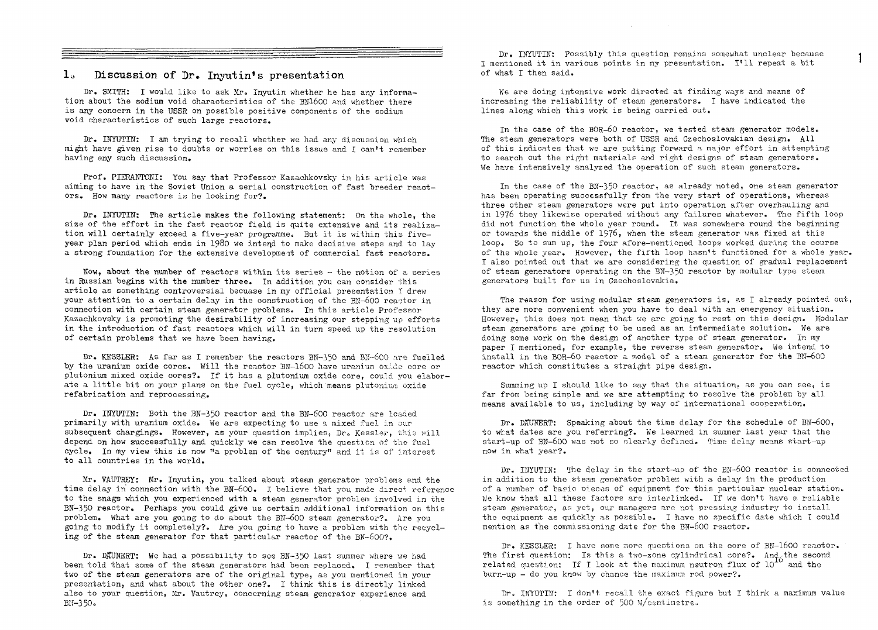#### lo Discussion of Dr. Inyutin's presentation

Dr. SMITH: I would like to ask Mr. Inyutin whether he has any information about the sodium void characteristics of the 3N1-600 and whether there is any concern in the USSR on possible positive components of the sodium void characteristics of such large reactors.

Dr. INYUTIN: I am trying to recall whether we had any discussion which might have given rise to doubts or worries on this issue and I can't remember having any such discussion.

Prof. PIERANTONI: You say that Professor Kazachkovsky in his article was aiming to have in the Soviet Union a serial construction of fast breeder reactors. How many reactors is he looking for?.

Dr. INYUTIN: The article makes the following statement: On the whole, the size of the effort in the fast reactor field is quite extensive and its realization will certainly exceed a five-year programme. But it is within this fiveyear plan period which ends in 1980 we intend to make decisive steps and to lay a strong foundation for the extensive development of commercial fast reactors.

Now, about the number of reactors within its series - the notion of a series in Russian begins with the number three. In addition you can consider this article as something controversial becuase in my official presentation I drew your attention to a certain delay in the construction cf the BK-600 reaotor in connection with certain steam generator problems. In this article Professor Kazachkovsky is promoting the desirability of increasing our stepping up efforts in the introduction of fast reactors which will in turn speed up the resolution of certain problems that we have been having.

Dr. KESSLER: As far as I remember the reactors BN-350 and BN-600 are fuelled by the uranium oxide cores, Will the reactor BN-1600 have uranium oxide core or Plutonium mixed oxide cores?. If it has a plutonium oxide core, could you elaborate a little bit on your plans on the fuel cycle, which means plutonium oxide refabrication and reprocessing.

Dr. INYUTIN: Both the BN-350 reactor and the BN-600 reactor are loaded primarily with uranium oxide. We are expecting to use a mixed fuel in our subsequent chargings. However, as your question implies, Dr. Kessler, this will depend on how successfully and quickly we can resolve the questicn of the fuel cycle. In my view this is now "a problem of the century" and it is of interest to all countries in the world.

Mr. VAUTREY: Mr. Inyutin, you talked about steam generator problems and. the time delay in connection with the BN-600. I believe that you made direct reference to the snags which you experienced with a steam generator problem involved in the BN-350 reactor. Perhaps you could give us certain additional information on this problem. What are you going to do about the BW-600 steam generator?- Are you going to modify it completely?. Are you going to have a problem with the recycling of the steam generator for that particular reactor of the BN-600?.

Dr. DffUNERT: We had a possibility to see BN-350 last summer where we had been told that some of the steam generators had been replaced. I remember that two of the steam generators are of the original type, as you mentioned in your presentation, and what about the other one?. I think this is directly linked also to your question, Mr. Vautrey, concerning steam generator experience and  $BH-350.$ 

Dr. INYUTIN: Possibly this question remains somewhat unclear because I mentioned it in various points in my presentation. I'll repeat a bit of what I then said.

1

We are doing intensive work directed at finding ways and means of increasing the reliability of steam generators. I have indicated the lines along which this work is being carried out.

In the case of the BOR-6O reactor, we tested steam generator models. The steam generators were both of USSR and Czechoslovakian design. All of this indicates that we are putting forward a major effort in attempting to search out the right materials and right designs of steam generators. We have intensively analyzed the operation of such steam generators.

In the case of the BN-350 reactor, as already noted, one steam generator has been operating successfully from the very start of operations, whereas three other steam generators were put into operation after overhauling and in 1976 they likewise operated without any failures whatever. The fifth loop did not function the whole year round. It was somewhere round the beginning or towards the middle of 1976» when the steam generator was fixed at this loop. So to sum up, the four afore-mentioned loops worked during the course of the whole year. However, the fifth loop hasn't functioned for a whole year. I also pointed out that we are considering the question of gradual replacement of steam generators operating on the 3N-350 reactor by modular type steam generators built for us in Czechoslovakia.

The reason for using modular steam generators is, as I already pointed out, they are more convenient when you have to deal with an emergency situation. However, this does not mean that we are going to rest on this design. Modular steam generators are going to be used as an intermediate solution. We are doing some work on the design of another type of steam generator. In my paper I mentioned, for example, the reverse steam generator. We intend to install in the BOR—60 reactor a model of a steam generator for the BN-600 reactor which constitutes a straight pipe design.

Summing up I should like to say that the situation, as you can see, is far from being simple and we are attempting to resolve the problem by all means available to us, including by way of international cooperation.

Dr. DAUNERT: Speaking about the time delay for the schedule of  $BM-600$ , to what dates are you referring?. We learned in summer last year that the start-up of BN—600 was not so clearly defined. Time delay means start—up now in what year?.

Dr. INYUTIN: The delay in the start-up of the BN-600 reactor is connected in addition to the steam generator problem with a delay in the production of a number of basic uieces of equipment for this particular nuclear station.. We know that all these factors are interlinked. If we don't have a reliable steam generator, as yet, our managers are not pressing industry to install the equipment as quickly as possible. I have no specific date which I could mention as the commissioning date for the BW-600 reactor.

Dr. KESSLER: I have some more questions on the core of BN-1600 reactor. The first question: Is this a two-zone cylindrical core?. And, the second related question: If I look at the maximum neutron flux of  $10^{10}$  and the burn-up - do you know by chance the maximum rod power?.

Dr. INYUTIN: I don't recall the exact figure but I think a maximum value is something in the order of 500 W/centinatre.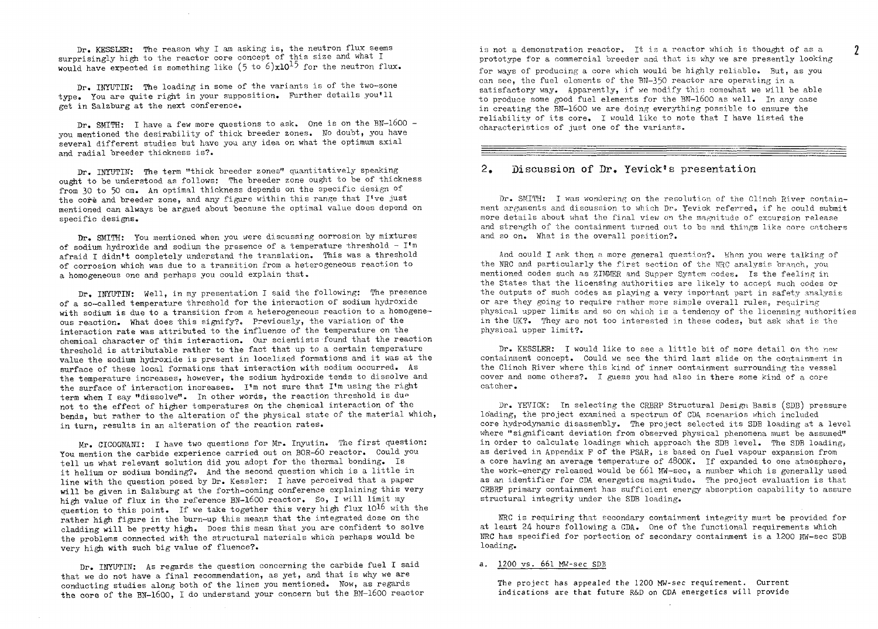Dr. KESSLER: The reason why I am asking is, the neutron flux seems surprisingly high to the reactor core concept of this size and what I would have expected is something like  $(5 \text{ to } 6) \times 10^{15}$  for the neutron flux.

Dr. INYUTIN: The loading in some of the variants is of the two-zone type. You are quite right in your supposition. Further details you'll get in Salzburg at the next conference.

Dr. SMITH: I have a few more questions to ask. One is on the BN-1600 you mentioned the desirability of thick breeder zones. No doubt, you have several different studies but have you any idea on what the optimum axial and radial breeder thickness is?.

Dr. INYUTIN: The term "thick breeder zones" quantitatively speaking ought to be understood as follows: The breeder zone ought to be of thickness from 30 to 50 cm. An optimal thickness depends on the specific design of the core and breeder zone, and any figure within this range that I've just mentioned can always be argued about because the optimal value does depend on specific designs.

Dr. SMITH: You mentioned when you were discussing corrosion by mixtures of sodium hydroxide and sodium the presence of a temperature threshold -  $I^{\dagger}$ m afraid I didn't completely understand the translation. This was a threshold of corrosion which was due to a transition from a heterogeneous reaction to a homogeneous one and perhaps you could explain that.

Dr. INYUTIN: Well, in my presentation I said the following: The presence of a so-called temperature threshold for the interaction of sodium hydroxide with sodium is due to a transition from a heterogeneous reaction to a homogeneous reaction. What does this signify?. Previously, the variation of the interaction rate was attributed to the influence of the temperature on the chemical character of this interaction. Our scientists found that the reaction threshold is attributable rather to the fact that up to a certain temperature value the sodium hydroxide is present in localized formations and it was at the surface of these local formations that interaction with sodium occurred. As the temperature increases, however, the sodium hydroxide tends to dissolve and the surface of interaction increases. I'm not sure that I'm using the right term when I say "dissolve". In other words, the reaction threshold is due not to the effect of higher temperatures on the chemical interaction of the bends, but rather to the alteration of the physical state of the material which, in turn, results in an alteration of the reaction rates.

Mr. CICOGNANI: I have two questions for Mr. Inyutin. The first question: You mention the carbide experience carried out on BOR-60 reactor. Could you tell us what relevant solution did you adopt for the thermal bonding. Is it helium or sodium bonding?. And the second question which is a little in line with the question posed by Dr. Kessler: I have perceived that a paper will be given in Salzburg at the forth-coming conference explaining this very high value of flux in the reference BN-1600 reactor. So, I will limit my question to this point. If we take together this very high flux 10<sup>16</sup> with the rather high figure in the burn-up this means that the integrated dose on the cladding will be pretty high. Does this mean that you are confident to solve the problems connected with the structural materials which perhaps would be very high with such big value of fluence?.

Dr. INYUTIN: As regards the question concerning the carbide fuel I said that we do not have a final recommendation, as yet, and that is why we are conducting studies along both of the lines you mentioned. Wow, as regards the core of the BN-1600, I do understand your concern but the BN-1600 reactor is not a demonstration reactor. It is a reactor which is thought of as a prototype for a commercial breeder and that is why we are presently looking

for ways of producing a core which would be highly reliable. But, as you can see, the fuel elements of the  $BN-350$  reactor are operating in a satisfactory way. Apparently, if we modify this somewhat we will be able to produce some good fuel elements for the BN-1600 as well. In any case in creating the BN-1600 we are doing everything possible to ensure the reliability of its core. I would like to note that I have listed the characteristics of just one of the variants.

#### 2. Discussion of Dr. Yevick's presentation

Dr. SMITH: I was wondering on the resolution of the Clinch River containment arguments and discussion to which Dr. Yevick referred, if he could submit more details about what the final view on the magnitude of excursion release and strength of the containment turned out to bs and things like core catchers and so on. What is the overall position?.

And could I ask then a more general question?. When you were talking of the NRC and particularly the first section of the NRC analysis branch, you mentioned codes such as ZIMMER and Supper System codes. Is the feeling in the States that the licensing authorities are likely to accept such codes or the outputs of such codes as playing a very important part in safety analysis or are they going to require rather more simple overall rules, requiring physical upper limits and so on which is a tendency of the licensing authorities in the UK?. They are not too interested in these codes, but ask what is the physical upper limit?.

Dr. KESSLER: I would like to see a little bit of more detail on the new containment concept. Could we see the third last slide on the containment in the Clinch River where this kind of inner containment surrounding the vessel cover and some others?. I guess you had also in there some kind of a core catcher.

Dr. YEVIGK: In selecting the CRBRP Structural Design Basis (SDB) pressure loading, the project examined a spectrum of CDA scenarios which included core hydrodynamic disassembly. The project selected its SDB loading at a level where "significant deviation from observed physical phenomena must be assumed" in order to calculate loadings which approach the SDB level. The SDB loading, as derived in Appendix F of the PSAR, is based on fuel vapour expansion from a core having an average temperature of 48OOK. If expanded to one atmosphere, the work-energy released would be 661 MW-sec, a number which is generally used as an identifier for CDA energetics magnitude. The project evaluation is that CRBRP primary containment has sufficient energy absorption capability to assure structural integrity under the SDB loading.

URC is requiring that secondary containment integrity must be provided for at least 24 hours following a CDA. One of the functional requirements which BRC has specified for portection of secondary containment is a 1200 MW-sec SDB loading.

#### a. 1200 vs. 661 MW-sec SDB

The project has appealed the 1200 MW-sec requirement. Current indications are that future R&D on CDA energetics will provid  $\overline{\phantom{a}}$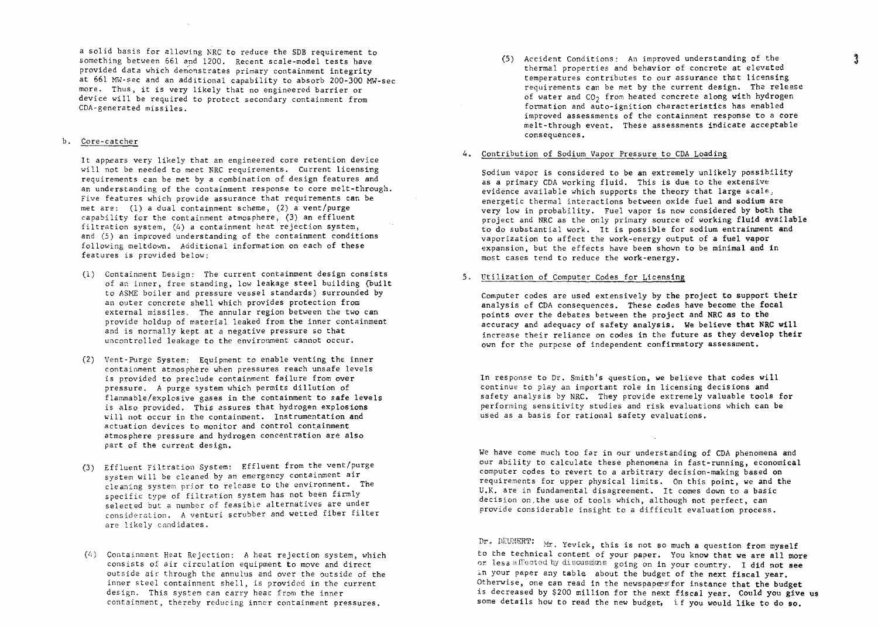a solid basis for allowing NRC to reduce the SDB requirement to something between 661 and 1200. Recent scale-model tests have provided data which demonstrates primary containment integrity at 661 MW-sec and an additional capability to absorb 200-300 MW-sec more. Thus, it is very likely that no engineered barrier or device will be required to protect secondary containment from CDA-generated missiles.

#### b. Core-catcher

It appears very likely that an engineered core retention device will not be needed to meet NRC requirements. Current licensing requirements can be net by a combination of design features and an understanding of the containment response to core melt-through. Five features which provide assurance that requirements can be met are: (1) a dual containment scheme, (2) a vent/purge capability for the containment atmosphere, (3) an effluent filtration system, (4) a containment heat rejection system, and (5) an improved understanding of the containment conditions following meltdown. Additional information on each of these features is provided below:

- (1) Containment Design: The current containment design consists of an inner, free standing, low leakage steel building (built to ASME boiler and pressure vessel standards) surrounded by an outer concrete shell which provides protection from external missiles. The annular region between the two can provide holdup of material leaked from the inner containment and is normally kept at a negative pressure so that uncontrolled leakage to the environment cannot occur.
- (2) Vent-Purge System: Equipment to enable venting the **inner** containment atmosphere when pressures reach unsafe levels is provided to preclude containment failure from over pressure. A purge system which permits dillution of flammable/explosive gases in the containment to safe **levels** is also provided. This assures that hydrogen explosions will not occur in the containment. Instrumentation **and** actuation devices to monitor and control containment atmosphere pressure and hydrogen concentration are **also** part of the current design.
- (3) Effluent Filtration System: Effluent from the vent/purge system will be cleaned by an emergency containment air cleaning system prior to release to the environment. The specific type of filtration system has not been firmly selected but a number of feasible alternatives are under consideration. A venturi scrubber and wetted fiber filter are likely candidates.
- $(4)$  Containment Heat Rejection: A heat rejection system, which consists of air circulation equipment to move and direct outside air through the annulus and over the outside of the inner steel containment shell, is provided in the current design. This system can carry heat from the inner containment, thereby reducing inner containment pressures.

(5) Accident Conditions: An improved understanding of the thermal properties and behavior of concrete at elevated temperatures contributes to our assurance that licensing requirements can be met by the current design. The release of water and  $CO<sub>2</sub>$  from heated concrete along with hydrogen formation and auto-ignition characteristics **has** enabled improved assessments of the containment response **to a core** melt-through event. These assessments indicate acceptable consequences.

#### 4. Contribution of Sodium Vapor Pressure to CDA Loading

Sodium vapor is considered to be an extremely unlikely possibility as a primary CDA working fluid. This is due to the extensive evidence available which supports the theory that large scale., energetic thermal interactions between oxide fuel and sodium are very low in probability. Fuel vapor is now considered by both **the** project and NRC as the only primary source of working fluid available to do substantial work. It is possible for sodium entrainment **and** vaporization to affect the work-energy **output of a fuel vapor** expansion, but the effects have been shown to be minimal **and in** most cases tend to reduce the work-energy.

#### 5, Utilization of Computer Codes for Licensing

Computer codes are used extensively **by the project to support their** analysis of CDA consequences. **These** codes **have become the focal** points over the debates between **the project and NRC as to the** accuracy and adequacy of safety **analysis. We believe that NRC will** increase their reliance on codes **in** the **future as they develop their** own for the purpose of independent confirmatory assessment.

In response to Dr. Smith's question, we believe that codes will continue to play an important role in licensing decisions **and** safety analysis by NRC. They provide extremely valuable tools **for** performing sensitivity studies and risk evaluations which can be used as a basis for rational safety evaluations.

We have come much too far in our understanding of CDA phenomena **and** our ability to calculate these phenomena in fast-running, economical computer codes to revert to a arbitrary decision-making based **on** requirements for upper physical limits. On this point, we **and the** U.K. are in fundamental disagreement. It comes down to a basic decision on.the use of tools which, although not perfect, **can** provide considerable insight to a difficult evaluation process.

Dr. DEUNERT: Mr. Yevick, this is not so much a question from myself to the technical content of your paper. You know that **we are all more** or less affected by discussicns going on in your country. I **did** not **see** in your paper any table about the budget of the **next fiscal year.** Otherwise, one can read in the newspapers'for instance **that the budget** is decreased by \$200 million for the next fiscal year. **Could you give us** some details how to read the new budget, if you **would like to do so.**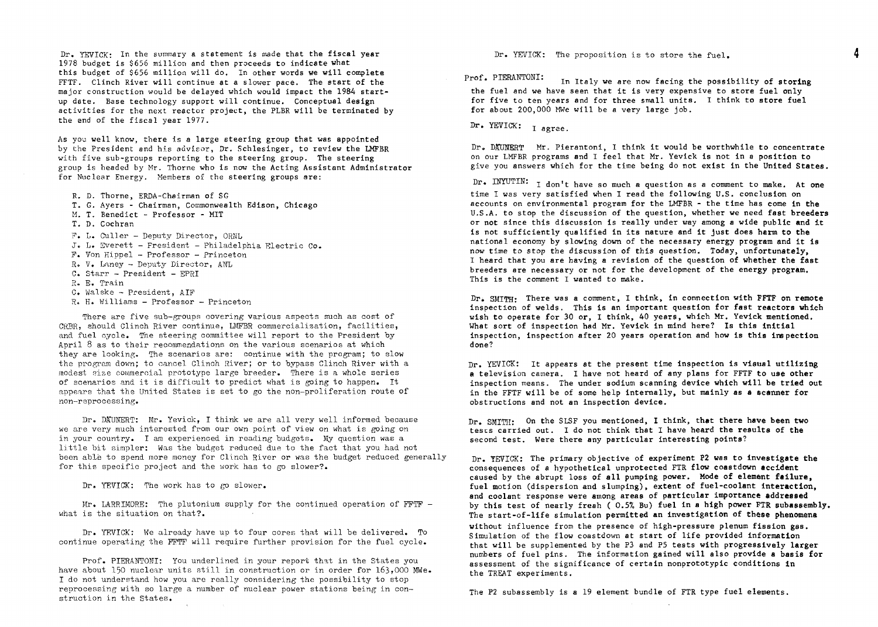Dr. YEVICK: In the summary a statement is made that the fiscal year 1978 budget is \$656 million and then proceeds to indicate what this budget of \$656 million will do. In other words we will complete FFTF. Clinch River will continue at a slower pace. The start of the major construction would be delayed which would impact the 1984 startup date. Ease technology support will continue. Conceptual design activities for the next reactor project, the PLBR will be terminated by the end of the fiscal year 1977.

As you well know, there is a large steering group that was appointed by the President and his advisor, Dr. Schlesinger, to review the LMFBR with five sub-groups reporting to the steering group. The steering group is headed by Mr. Thorne who is now the Acting Assistant Administrator for Nuclear Energy. Members of the steering groups are:

- R. D. Thorne, ERDA-Chsirman of SG
- T. G. Ayers Chairman, Commonwealth Edison, Chicago
- M. T. Benedict Professor MIT
- T. D. Cochran
- F. L. Culler Deputy Director, ORNL
- J. L, Everett Fresident Philadelphia Electric Co.
- F. Von Hippel Professor Princeton
- R. V. Laney Deputy Director. ANL
- C. Starr President EPRI
- R. E. Train
- C. Walske President, AIF
- R. H. Williams Professor Princeton

There are five sub-groups covering various aspects such as cost of CRBR, should Clinch River continue, LMFBR commercialization, facilities, and fuel cycle. The steering committee will report to the President by April 8 as to their recommendations on the various scenarios at which they are looking. The scenarios are: continue with the program; to slow the program down; to cancel Clinch River; or to bypass Clinch River with a modest size commercial prototype large breeder. There is a whole series of scenarios and it is difficult to predict what is going to happen. It appears that the United States is set to go the non-proliferation route of non-reprocessing.

Dr. DAUNERT: Mr. Yevick, I think we are all very well informed because we are very much interested from our own point of view on what is going on in your country. I am experienced in reading budgets. My question was a little bit simpler: Was the budget reduced due to the fact that you had not been able to spend more money for Clinch River or was the budget reduced generally for this specific project and the work has to go slower?.

Dr. YEVICK: The work has to go slower.

Mr. LARRIMORE: The plutonium supply for the continued operation of FFTF what is the situation on that?.

Dr. YEVICK: We already have up to four cores that will be delivered. To continue operating the FFTF will require further provision for the fuel cycle.

Prof. PIERANTONI: You underlined in your report that in the States you have about 150 nuclear units still in construction or in order for 163,000 MWe. I do not understand how you are really considering the possibility to stop reprocessing with so large a number of nuclear power stations being in construction in the States.

Dr. YEVICK: The proposition is to store the fuel.

Prof. PIERANTONI: In Italy we are now facing the possibility of storing the fuel and we have seen that it is very expensive to store fuel **only** for five to ten years and for three small units. I think to store **fuel** for about 200,000 MWe will be a very large job.

Dr. YEVICK: I agree.

Dr. DAUNERT Mr. Pierantoni, I think it would be worthwhile to concentrate on our LMFBR programs and I feel that Mr. Yevick is not in a position to give you answers which for the time being do not exist in the **United States.**

Dr. INYUTIN: I don't have so much a question as a comment to make. At one time I was very satisfied when I read the following U.S. conclusion on accounts on environmental program for the LMFBR - the time has come in **the** U.S.A. to stop the discussion of the question, whether we need **fast breeders** or **not** since this discussion is really under way among a wide public **and** it is not sufficiently qualified in its nature and it just does **harm to the** national economy by slowing down of the necessary energy program **and** it is now time to stop the discussion of this question. Today, **unfortunately,** I heard that you are having a revision of the question of **whether the fast** breeders are necessary or not for the development of the **energy program.** This is the comment I wanted to make.

Dr. SMITH: There was a comment, I think, in connection **with FFTF on remote** inspection of welds. This is an important question for fast **reactors which** wish to operate for 30 or, I think, 40 years, which Mr. Yevick **mentioned.** What sort of inspection had Mr. Yevick in mind here? **Is this initial** inspection, inspection after 20 years operation and how is this **inspection** done?

Dr. YEVICK: It appears at the present time inspection is **visual utilizing a** television camera. I have not heard of any plans for FFTF **to use other** inspection means. The under sodium scanning device **which** will **be tried out** in the FFTF will be of some help internally, but mainly as **a scanner for** obstructions and not an inspection device.

Dr. SMITH: On the SLSF you mentioned, I think, that there have been two tests carried out. I do not think that I have heard **the results of the** second test. Were there any particular interesting points?

Dr. YEVICK: The primary objective of experiment **P2 was to investigate the** consequences of a hypothetical unprotected FTR flow **coastdown accident** caused by the abrupt loss of **all** pumping power. **Mode of element failure,** fuel motion (dispersion and slumping), extent of fuel-coolant **interaction,** and coolant response were among areas of particular **importance addressed** by this test of nearly fresh ( 0.57. Bu) **fuel in a** high **power** FTR **subassembly.** The start-of-life simulation **permitted an investigation of these phenomena** without influence from the presence of high-pressure plenum fission gas. Simulation of the flow coastdown at start of life provided information that will be supplemented by the P3 and P5 tests with progressively **larger** numbers of fuel pins. The information gained will also provide **a basis for** assessment of the significance of certain nonprototypic conditions in the TREAT experiments.

The P2 subassembly is a 19 element bundle of FTR type fuel elements.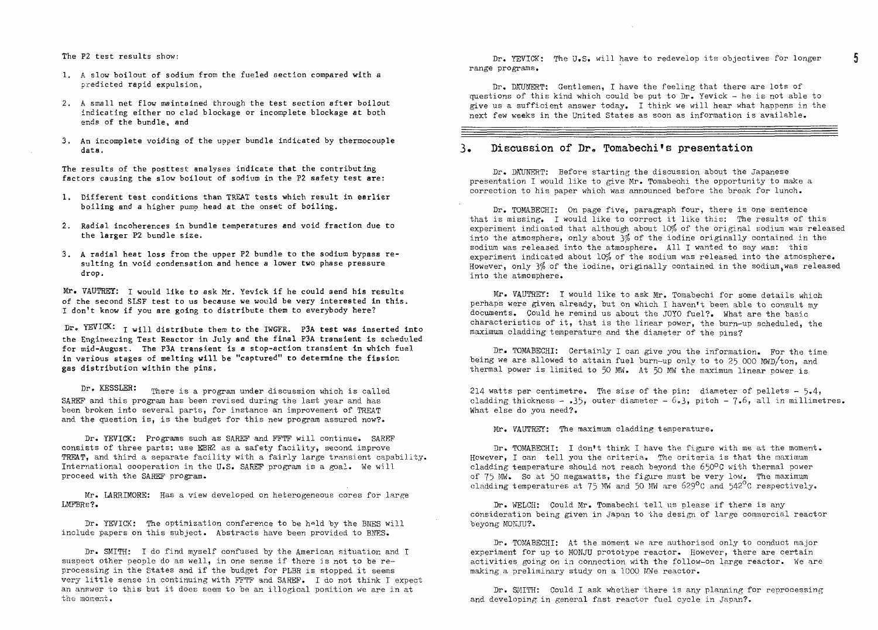The P2 test results show:

- 1. A slow boilout of sodium from the fueled section compared with a predicted rapid expulsion,
- 2. A small net flow maintained through the test section after boilout indicating either no clad blockage or incomplete blockage at both ends of the bundle, and
- 3. An incomplete voiding of the upper bundle indicated by thermocouple data.

The results of the posttest analyses indicate that the contributing factors causing the slow boilout of sodium in the P2 safety test are:

- 1. Different test conditions than TREAT tests which result in earlier boiling and a higher pump head at the onset of boiling.
- 2. Radial incoherences in bundle temperatures and void fraction due to the larger P2 bundle size.
- 3. A radial heat loss from the upper P2 bundle to the sodium bypass resulting in void condensation and hence a lower two phase pressure drop.

Mr. VAUTREY: I would like to ask Mr. Yevick if he could 3end his results of the second SLSF test to us because we would be very interested in this. I don't know if you are going to distribute them to everybody here?

Dr. YEVICK:  $I$  will distribute them to the IWGFR. P3A test was inserted into the Engineering Test Reactor in July and the final P3A transient is scheduled for mid-August. The P3A transient is a stop-action transient in which fuel in various stages of melting will be "captured" to determine the fission gas distribution within the pins.

Dr. KESSLER: There is a program under discussion which is called SAKEF and this program has been revised during the last year and has been broken into several parts, for instance an improvement of TREAT and the question is, is the budget for this new program assured now?.

Dr. YEVICK: Programs such as SAREP and FFTF will continue. SAREF consists of three parts; use KBR2 as a safety facility, second improve TREAT, and third a separate facility with a fairly large transient capability. International cooperation in the U.S. SAREP program is a goal. We will proceed with the SAREP program.

Mr. LARRIMORE: Has a view developed on heterogeneous cores for large LMPBRs?.

Dr. YEVICK: The optimization conference to be held by the BNES will include papers on this subject. Abstracts have been provided to BNES.

Dr. SMITH: I do find myself confused by the American situation and I suspect other people do as well, in one sense if there is not to be reprocessing in the States and if the budget for PLBR is stopped it seems very little sense in continuing with PPTP and SAREF. I do not think I expect an answer to this but it does seem to be an illogical position we are in at the moment.

Dr. YEVICK: The U.S. will have to redevelop its objectives for longer range programs.

Dr. DAUNERT: Gentlemen, I have the feeling that there are lots of questions of this kind which could be put to Dr. Yevick - he is not able to give us a sufficient answer today, I think we will hear what happens in the next few weeks in the United States as soon as information is available.

#### 3. Discussion of Dr. Tomabechi's presentation

Dr. DAUNERT: Before starting the discussion about the Japanese presentation I would like to give Mr. Tomabechi the opportunity to make a correction to his paper which was announced before the break for lunch.

Dr. TOMABECHI: On page five, paragraph four, there is one sentence that is missing. I would like to correct it like this: The results of this experiment indicated that although about 10% of the original sodium was released into the atmosphere, only about 3% of the iodine originally contained in the sodium was released into the atmosphere. All I wanted to say was: this experiment indicated about  $10\%$  of the sodium was released into the atmosphere. However, only 3% of the iodine, originally contained in the sodium, was released into the atmosphere.

Mr. VAUTREY: I would like to ask Mr. Tomabechi for some details which perhaps were given already, but on which I haven't been able to consult my documents. Could he remind us about the JOYO fuel?. What are the basic characteristics of it, that is the linear power, the burn-up scheduled, the maximum cladding temperature and the diameter of the pins?

Dr. TOMABECHI: Certainly I can give you the information. For the time being we are allowed to attain fuel burn-up only to to 25 000 MWD/ton, and thermal power is limited to 50 MW. At 50 MW the maximum linear power is

214 watts per centimetre. The size of the pin: diameter of pellets  $-5.4$ , cladding thickness - .35, outer diameter -  $6.3$ , pitch - 7.6, all in millimetres. What else do you need?.

Mr. VAUTREY: The maximum cladding temperature.

Dr. TOMABECHI: I don't think I have the figure with me at the moment. However, I can tell you the criteria. The criteria is that the maximum cladding temperature should not reach beyond the 65O°C with thermal power of 75 MW. So at 50 megawatts, the figure must be very low. The maximum cladding temperatures at 75 MW and 50 MW are 6?9°C and 542°C respectively.

Dr. WELCH: Could Mr. Tomabechi tell us please if there is any consideration being given in Japan to the design of large commercial reactor beyong MONJU?.

Dr. TOMABECHI: At the moment we are authorised only to conduct major experiment for up to MONJU prototype reactor. However, there are certain activities going on in connection with the follow-on large reactor. We are making a preliminary study on a 1000 MWe reactor.

Dr. SMITH: Could I ask whether there is any planning for reprocessing and developing in general fast reactor fuel cycle in Japan?.

5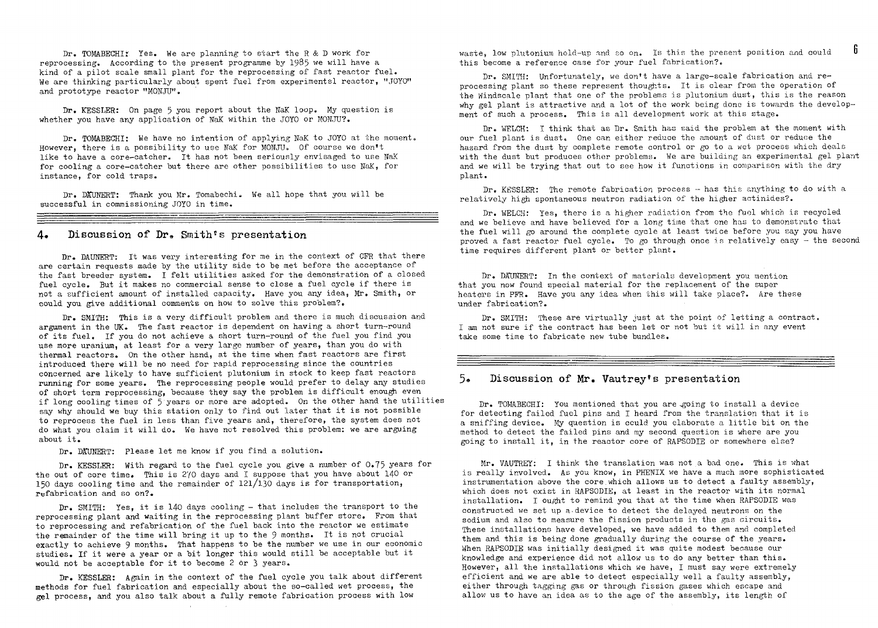Dr. TOMABECHI $\chi$  Yes. We are planning to start the R & D work for reprocessing. According to the present programme by 1985 we will have a kind of a pilot scale small plant for the reprocessing of fast reactor fuel. We are thinking particularly about spent fuel from experimentsl reactor, "JOYO" and prototype reactor "MONJU".

Dr. KESSLER: On page 5 you report about the NaK loop. My question is whether you have any application of NaK within the JOYO or MONJU?.

Dr. TOMABECHI: We have no intention of applying NaK to JOYO at the moment. However, there is a possibility to use NaK for MONJU. Of course we don't like to have a core-catcher. It has not been seriously envisaged to use NaK for cooling a core-catcher but there are other possibilities to use NaK, for instance, for cold traps.

Dr. DAUNERT: Thank you Mr. Tomabechi. We all hope that you will be successful in commissioning JOYO in time.

#### 4« Discussion of Dr» Smith's presentation

Dr. DAUNERT: It was very interesting for me in the context of CFR that there are certain requests made by the utility side to be met before the acceptance of the fast breeder system. I felt utilities asked for the demonstration of a closed fuel cycle. But it makes no commercial sense to close a fuel cycle if there is not a sufficient amount of installed capacity. Have you any idea, Mr. Smith, or could you give additional comments on how to solve this problem?.

Dr. SMITH: This is a very difficult problem and there is much discussion and argument in the UK. The fast reactor is dependent on having a short turn-round of its fuel. If you do not achieve a short turn-round of the fuel you find you use more uranium, at least for a very large number of years, than you do with thermal reactors. On the other hand, at the time when fast reactors are first introduced there will be no need for rapid reprocessing since the countries concerned are likely to have sufficient plutonium in stock to keep fast reactors running for some years. The reprocessing people would prefer to delay any studies of short term reprocessing, because they say the problem is difficult enough even if long cooling times of 5 years or more are adopted. On the other hand the utilities say why should we buy this station only to find out later that it is not possible to reprocess the fuel in less than five years and, therefore, the system does not do what you claim it will do. We have not resolved this problem: we are arguing about it.

Dr. DAUNERT: Please let me know if you find a solution.

Dr. KESSLER: With regard to the fuel cycle you give a number of 0.75 years for the out of core time. This is 2yo days and I suppose that you have about 140 or 150 days cooling time and the remainder of 12l/l30 days is for transportation, refabrication and so on?.

Dr. SMITH: Yes, it is 140 days cooling - that includes the transport to the reprocessing plant and waiting in the reprocessing plant buffer store. From that to reprocessing and refabrication of the fuel back into the reactor we estimate the remainder of the time will bring it up to the 9 months. It is not crucial exactly to achieve 9 months. That happens to be the number we use in our economic studies. If it were a year or a bit longer this would still be acceptable but it would not be acceptable for it to become 2 or 3 years.

Dr. KESSLER: Again in the context of the fuel cycle you talk about different methods for fuel fabrication and especially about the so-called wet process, the gel process, and you also talk about a fully remote fabrication process with low

waste. low plutonium hold-up and so on. Is this the present position and could this become a reference case for your fuel fabrication?.

Dr. SMITH: Unfortunately, we don't have a large-scale fabrication and reprocessing plant so these represent thoughts. It is clear from the operation of the Windscale plant that one of the problems is plutonium dust, this is the reason why gel plant is attractive and a lot of the work being done is towards the development of such a process. This is all development work at this stage.

Dr. WELCH: I think that as Dr. Smith has said the problem at the moment with our fuel plant is dust. One car. either reduce the amount of dust or reduce the hazard from the dust by complete remote control or go to a wet process which deals with the dust but produces other problems. We are building an experimental gel plant and we will be trying that out to see how it functions in comparison with the dry plant.

Dr. KESSLER: The remote fabrication process - has this anything to do with a relatively high spontaneous neutron radiation of the higher actinides?.

Dr. WELCH: Yes, there is a higher radiation from the fuel which is recycled and we believe and have believed for a long time that one has to demonstrate that the fuel will go around the complete cycle at least twice before you say you have proved a fast reactor fuel cycle. To go through once is relatively easy - the second time requires different plant or better plant.

Dr. DAUNERT: In the context of materials development you mention that you now found special material for the replacement of the super heaters in PPR. Have you any idea when this will take place?. Are these under fabrication?.

Dr. SMITH: These are virtually just at the point of letting a contract. I am not sure if the contract has been let or not but it will in any event take some time to fabricate new tube bundles.

#### Discussion of Mr. Vautrey's presentation

Dr. TOMABECHI: You mentioned that you are agoing to install a device for detecting failed fuel pins and I heard from the translation that it is a sniffing device. My question is could you elaborate a little bit on the method to detect the failed pins and my second question is where are you going to install it, in the reactor core of RAPSODIE or somewhere else?

Mr. VAUTREY: I think the translation was not a bad one. This is what is really involved. As you know, in PHENIX we have a much more sophisticated instrumentation above the core.which allows us to detect a faulty assembly, which does not exist in RAPSODIE, at least in the reactor with its normal installation. I ought to remind you that at the time when RAPSODIE was constructed we set up a-device to detect the delayed neutrons on the sodium and also to measure the fission products in the gas circuits. These installations have developed, we have added to them and completed them and this is being done gradually during the course of the years. When RAPSODIE was initially designed it was quite modest because our knowledge and experience did not allow us to do any better than this. However, all the installations which we have, I must say were extremely efficient and we are able to detect especially well a faulty assembly, either through tagging gas or through fission gases which escape and allow us to have an idea as to the age of the assembly, its length of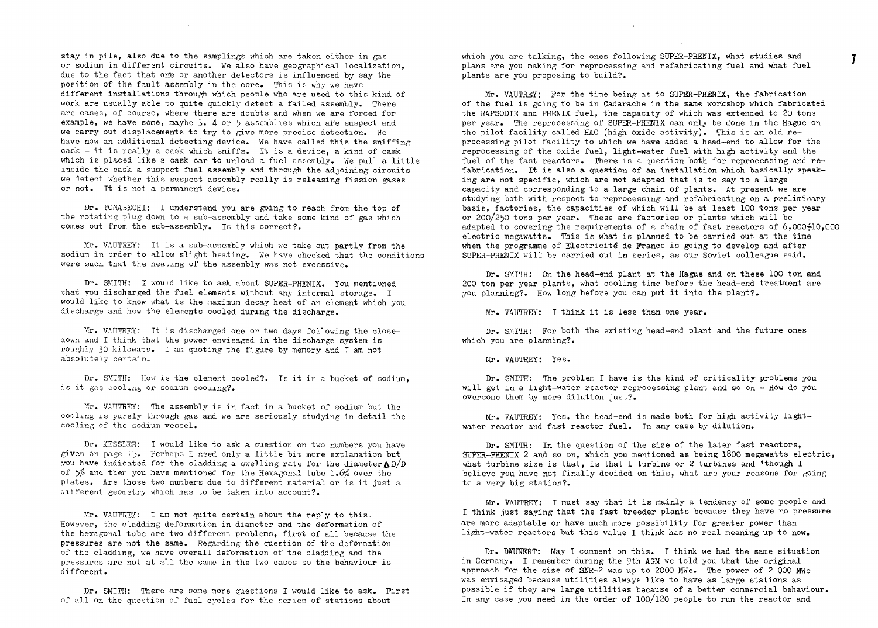stay in pile, also due to the samplings which are taken either in gas or sodium in different circuits. We also have geographical localization, due to the fact that one or another detectors is influenced by say the position of the fault assembly in the core. This is why we have different installations through which people who are used to this kind of work are usually able to quite quickly detect a failed assembly. There are cases, of course, where there are doubts and when we are forced for example, we have some, maybe  $3, 4$  or 5 assemblies which are suspect and we carry out displacements to try to give more precise detection. We have now an additional detecting device. We have called this the sniffing cask — it is really a cask which sniffs. It is a device, a kind of cask which is placed like a cask car to unload a fuel assembly. We pull a little inside the cask a suspect fuel assembly and through the adjoining circuits we detect whether this suspect assembly really is releasing fission gases or not. It is not a permanent device.

and the company of the

Dr. TOMABECHI: I understand you are going to reach from the top of the rotating plug down to a sub-assembly and take some kind of gas which comes out from the sub-assembly. Is this correct?.

Mr. VAUTREY: It is a sub-assembly which we take out partly from the sodium in order to allow slight heating. We have checked that the conditions were such that the heating of the assembly was not excessive.

Dr. SMITH: I would like to ask about SUPER-PHENIX. You mentioned that you discharged the fuel elements without any internal storage. I would like to know what is the maximum decay heat of an element which you discharge and how the elements cooled during the discharge.

Mr. VAUTREY: It is discharged one or two days following the closedown and I think that the power envisaged in the discharge system is roughly 30 kilcwats. I am quoting the figure by memory and I am not absolutely certain.

Dr. SMITH: How is the element cooled?. Is it in a bucket of sodium, is it gas cooling or sodium cooling?.

Mr. VAUTR3Y: The assembly is in fact in a bucket of sodium but the cooling is purely through gas and we are seriously studying in detail the cooling of the sodium vessel.

Dr. KESSLER: I would like to ask a question on two numbers you have given on page 15. Perhaps I need only a little bit more explanation but you have indicated for the cladding a swelling rate for the diameter  $AD/D$ of 5\$ and then you have mentioned for the Hexagonal tube 1.6% over the plates. Are those two numbers due to different material or is it just a different geometry which has to be taken into account?.

Mr. VAUTREY: I am not quite certain about the reply to this. However, the cladding deformation in diameter and the deformation of the hexagonal tube are two different problems, first of all because the pressures are not the same. Regarding the question of the deformation of the cladding, we have overall deformation of the cladding and the pressures are not at all the same in the two cases so the behaviour is different.

Dr. SMITH: There are some more questions I would like to ask. First of all on the question of fuel cycles for the series of stations about

which you are talking, the ones following SUPER-PHENIX, what studies and plans are you making for reprocessing and refabricating fuel and what fuel plants are you proposing to build?.

 $\overline{I}$ 

 $\sim$   $\mu$ 

Mr. VAUTREY: For the time being as to SUPER-PHEHIX, the fabrication of the fuel is going to be in Cadarache in the same workshop which fabricated the RAPSODIE and PHENIX fuel, the capacity of which was extended to 20 tons per year. The reprocessing of SUPER-PHENTX can only be done in the Hague on the pilot facility called HAO (high oxide activity). This is an old reprocessing pilot facility to which we have added a head-end to allow for the reprocessing of the oxide fuel, light-water fuel with high activity and the fuel of the fast reactors. There is a question both for reprocessing and refabrication. It is also a question of an installation which basically speaking are not specific, which are not adapted that is to say to a large capacity and corresponding to a large chain of plants. At present we are studying both with respect to reprocessing and refabricating on a preliminary basis, factories, the capacities of which will be at least 100 tons per year or 200/250 tons per year. These are factories or plants which will be adapted to covering the requirements of a chain of fast reactors of 6,000-10,000 electric megawatts. This is what is planned to be carried out at the time when the programme of Electricité de France is going to develop and after SUPER-PHENIX will be carried out in series, as our Soviet colleague said.

Dr. SMITH: On the head-end plant at the Hague and on these 100 ton and 200 ton per year plants, what cooling time before the head-end treatment are you planning?. How long before you can put it into the plant?.

Mr. VAUTREY: I think it is less than one year.

Dr. SMITH: For both the existing head-end plant and the future ones which you are planning?.

Mr. VAUTREY: Yes.

Dr. SMITH: The problem I have is the kind of criticality problems you will get in a light-water reactor reprocessing plant and so on - How do you overcome them by more dilution just?.

Mr. VAUTREY: Yes, the head-end is made both for high activity lightwater reactor and fast reactor fuel. In any case by dilution.

Dr. SMITH: In the question of the size of the later fast reactors, SUPER-PHENIX 2 and so on, which you mentioned as being 1800 megawatts electric, what turbine size is that, is that 1 turbine or 2 turbines and 'though I believe you have not finally decided on this, what are your reasons for going to a very big station?.

Mr. VAUTREY: I must say that it is mainly a tendency of some people and I think just saying that the fast breeder plants because they have no pressure are more adaptable or have much more possibility for greater power than light—water reactors but this value I think has no real meaning up to now.

Dr. DAUNERT: May I comment on this. I think we had the same situation in Germany. I remember during the 9th AGM we told you that the original approach for the size of SHR-2 was up to 2000 MWe. The power of 2 000 MWe was envisaged because utilities always like to have as large stations as possible if they are large utilities because of a better commercial behaviour. In any case you need in the order of 100/l20 people to run the reactor and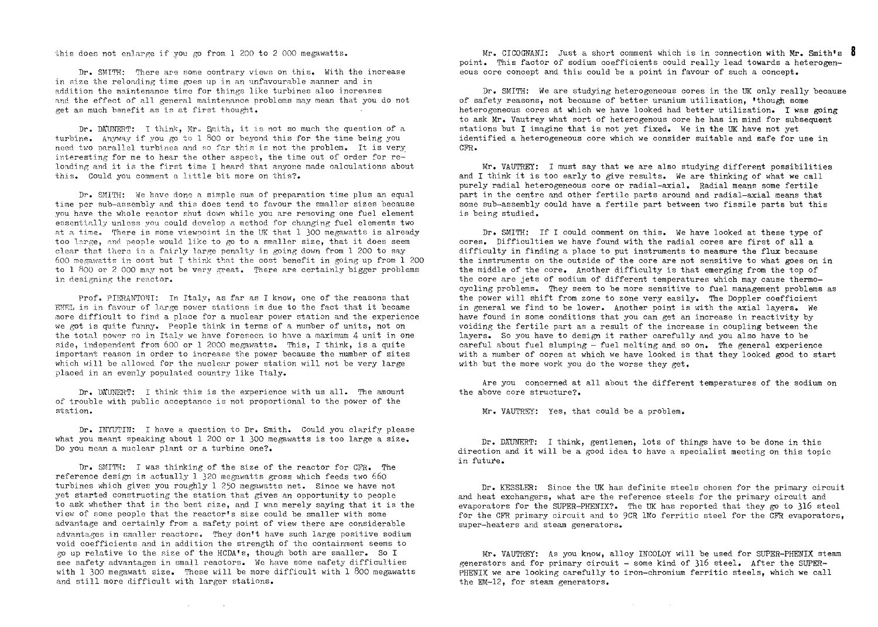this does not enlarge if you go from  $1,200$  to 2,000 megawatts.

Dr. SMITH: There are some contrary views on this. With the increase in size the reloading time goes up in an unfavourable manner and in addition the maintenance time for things like turbines also increases and the effect of all general maintenance problems may mean that you do not get as much benefit as is at first thought.

Dr. DAlMERT: T think, Mr,, Smith, it is not so much the question of a turbine. Anyway if you go to 1 800 or beyond this for the time being you need two parallel turbines and no far this is not the problem. It is very interesting for me to hear the other aspect, the time out of order for reloading and it is the first time I heard that anyone made calculations about this. Could you comment a little bit more on this?.

Dr. SMITH: We have done a simple sum of preparation time plus an equal time per sub-assembly and this does tend to favour the smaller sizes because you have the whole reactor shut down while you are removing one fuel element essentially unless you could develop a method for changing fuel elements two at a time. There is some viewpoint in the UK that 1 300 megawatts is already too large, and people would like to go to a smaller size, that it does seem clear that thero is a fairly large penalty in going down from 1 200 to say 600 megawatts in cost but I think that the cost benefit in going up from 1 200 to 1 800 or 2 000 may not be very great. There are certainly bigger problems in designing the reactor.

Prof. PIERANTONI: In Italy, as far as I know, one of the reasons that ENEL is in favour of large power stations is due to the fact that it became more difficult to find a place for a nuclear power station and the experience we got is quite funny. People think in terms of a number of units, not on the total power so in Italy we have foreseen to have a maximum 4 unit in one side, independent from 600 or 1 2000 megawatts. This, I think, is a quite important reason in order to increase the power because the number of sites which will be allowed for the nuclear power station will not be very large placed in an evenly populated country like Italy.

Dr. DA'UHERT: I think this is the experience with us all. The amount of trouble with public acceptance is not proportional to the power of the station.

Dr. INYUTIN: I have a question to Dr. Smith. Could you clarify please what you meant speaking about 1 200 or 1 300 megawatts is too large a size. Do you mean a nuclear plant or a turbine one?.

Dr. SMITH: I was thinking of the size of the reactor for CFR. The reference design is actually 1 320 megawatts gross which feeds two 660 turbines which gives you roughly 1 250 megawatts net. Since we have not yet started constructing the station that gives an opportunity to people to ask whether that is the best size, and I was merely saying that it is the view of some people that the reactor's size could be smaller with some advantage and certainly from a safety point of view there are considerable advantages in smaller reactors. They don't have such large positive sodium void coefficients and in addition the strength of the containment seems to go up relative to the size of the HCDA's, though both are smaller. So I see safety advantages in small reactors. We have some safety difficulties with 1 300 megawatt size. These will be more difficult with 1 800 megawatts and still more difficult with larger stations.

**Carl Committee** 

Mr. CICOGNANI: Just a short comment which is in connection with Mr. Smith's  $8$ point. This factor of sodium coefficients could really lead towards a heterogeneous core concept and this could be a point in favour of such a concept.

Dr. SMITH: We are studying heterogeneous cores in the UK only really because of safety reasons, not because of better uranium utilization, 'though some heterogeneous cores at which we have looked had better utilization. I was going to ask Mr. Vautrey what sort of heterogenous core he has in mind for subsequent stations but I imagine that is not yet fixed. We in the UK have not yet identified a heterogeneous core which we consider suitable and safe for use in CFR.

Mr. VAUTREY: I must say that we are also studying different possibilities and I think it is too early to give results. We are thinking of what we call purely radial heterogeneous core or radial-axial. Radial means some fertile part in the centre and other fertile parts around and radial-axial means that some sub-assembly could have a fertile part between two fissile parts but this is being studied.

Dr. SMITH: If I could comment on this. We have looked at these type of cores. Difficulties we have found with the radial cores are first of all a difficulty in finding a place to put instruments to measure the flux because the instruments on the outside of the core are not sensitive to what goes on in the middle of the core. Another difficulty is that emerging from the top of the core are jets of sodium of different temperatures which may cause thermo cycling problems. They seem to be more sensitive to fuel management problems as the power will shift from zone to zone very easily. The Doppler coefficient in general we find to be lower. Another point is with the axial layers. We have found in some conditions that you can get an increase in reactivity by voiding the fertile part as a result of the increase in coupling between the layers. So you have to design it rather carefully and you also have to be careful about fuel slumping  $-$  fuel melting and so on. The general experience with a number of cores at which we have looked is that they looked good to start with but the more work you do the worse they get.

Are you concerned at all about the different temperatures of the sodium on the above core structure?.

Mr. VAUTREY: Yes, that could be a problem.

Dr. DAUNERT: I think, gentlemen, lots of things have to be done in this direction and it will be a good idea to have a specialist meeting on this topic in future.

Dr. KE3SLER: Since the UK has definite steels chosen for the primary circuit and heat exchangers, what are the reference steels for the primary circuit and evaporators for the SUPER-PHENIX?. The UK has reported that they go to 316 steel for the CFR primary circuit and to 9CR IMo ferritic steel for the CFR evaporators, super-heaters and steam generators.

Mr. VAUTREY: As you know, alloy INCOLOY will be used for SUPER-PHENIX steam generators and for primary circuit - some kind of 316 steel. After the SUPER-PHENIX we are looking carefully to iron-chromium ferritic steels, which we call the EM—12, for steam generators.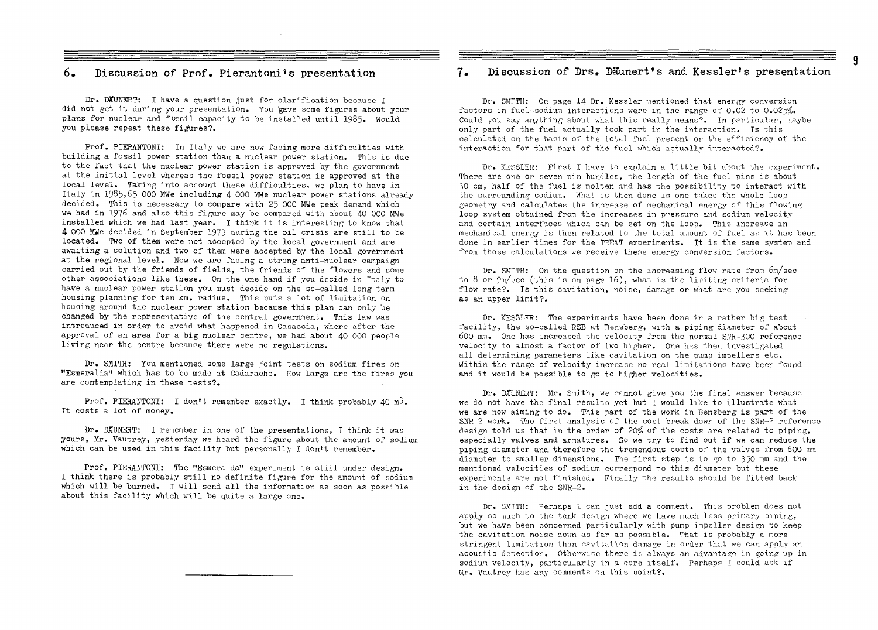Dr. DAUNERT: I have a question just for clarification because I did not get it during your presentation. You gave some figures about your plans for nuclear and fossil capacity to be installed until I985. Would you please repeat these figures?.

Prof. PIERANTONI: In Italy we are now facing more difficulties with building a fossil power station than a nuclear power station. This is due to the fact that the nuclear power station is approved by the government at the initial level whereas the fossil power station is approved at the local level. Taking into account these difficulties, we plan to have in Italy in 1985,65 000 MWe including 4 000 MWe nuclear power stations already decided. This is necessary to compare with 25 000 MWe peak demand which we had in 1976 and also this figure may be compared with about 40 000 MWe installed which we had last year. I think it is interesting to know that 4 000 MWe decided in September 1973 during the oil crisis are still to be located. Two of them were not accepted by the local government and are awaiting a solution and two of them were accepted by the local government at the regional level. Wow we are facing a strong anti-nuclear campaign carried out by the friends of fields, the friends of the flowers and some other associations like these. On the one hand if you decide in Italy to have a nuclear power station you must decide on the so-called long term housing planning for ten km. radius. This puts a lot of limitation on housing around the nuclear, power station because this plan can only be changed by the representative of the central government. This law was introduced in order to avoid what happened in Casaccia, where after the approval of an area for a big nuclear centre, we had about 40 000 people living near the centre because there were no regulations.

Dr. SMITH: You mentioned some large joint tests on sodium fires on "Esmeralda" which has to be made at Cadarache. How large are the fires you are contemplating in these tests?.

Prof. PIERANTONI: I don't remember exactly. I think probably 40 m<sup>3</sup>. It costs a lot of money.

Dr. DAUNERT: I remember in one of the presentations, I think it was yours, Mr. Vautrey, yesterday we heard the figure about the amount of sodium which can be used in this facility but personally I don't remember.

Prof. PIERAMTONI: The "Esmeralda" experiment is still under design. I think there is probably still no definite figure for the amount of sodium which will be burned. I will send all the information as soon as possible about this facility which will be quite a large one.

#### 6. Discussion of Prof. Pierantoni's presentation 7» Discussion of Drs. Da\*unert's and Kessler's presentation

Dr. SMITH: On page 14 Dr. Kessler mentioned that energy conversion factors in fuel-sodium interactions were in the range of 0.02 to 0.025%. Could you say anything about what this really means?. In particular, maybe only part of the fuel actually took part in the interaction. Is this calculated on the basis of the total fuel present or the efficiency of the interaction for that part of the fuel which actually interacted?.

Dr. KESSLER: First I have to explain a little bit about the experiment. There are one or seven pin bundles, the length of the fuel pins is about 30 cm, half of the fuel is molten and. has the possibility to interact with the surrounding sodium. What is then done is one takes the whole loop geometry and calculates the increase of mechanical energy of this flowing loop system obtained from the increases in pressure and sodium velocity and certain interfaces which can be set on the loop. This increase in mechanical energy is then related to the total amount of fuel as it has been done in earlier times for the TREAT experiments. It is the same system and from those calculations we receive these energy conversion factors.

Dr. SMITH: On the question on the increasing flow rate from 6m/sec to 8 or 9m/sec (this is on page 16), what is the limiting criteria for flow rate?. Is this cavitation, noise, damage or what are you seeking as an upper limit?.

Dr. KESSLER: The experiments have been done in a rather big test facility, the so-called RSB at Bensberg, with a piping diameter of about 600 mm. One has increased the velocity from the normal SNR-300 reference velocity to almost a factor of two higher. One has then investigated all determining parameters like cavitation on the pump impellers etc. Within the range of velocity increase no real limitations have been found and it would be possible to go to higher velocities.

Dr. DATINERT: Mr. Smith, we cannot give you the final answer because we do not have the final results yet but I would like to illustrate what we are now aiming to do. This part of the work in Bensberg is part of the  $SNR-2$  work. The first analysis of the cost break down of the  $SNR-2$  reference design told us that in the order of 20% of the costs are related to piping, especially valves and armatures. So we try to find out if we can reduce the piping diameter and therefore the tremendous costs of the valves from 600 mm diameter to smaller dimensions. The first step is to go to 350 mm and the mentioned velocities of sodium correspond to this diameter but these experiments are not finished. Finally the results should be fitted back in the design of the SWR-2.

Dr. SMITH: Perhaps I can just add a comment. This oroblem does not apply so much to the tank design where we have much less primary piping, but we have been concerned particularly with pump impeller design to keep the cavitation noise down as far as possible. That is probably a more stringent limitation than cavitation damage in order that we can apply an acoustic detection. Otherwise there is always an advantage in going up in sodium velocity, particularly in a core itself. Perhaps I could ask if Mr. Vautrey has any comments on this point?.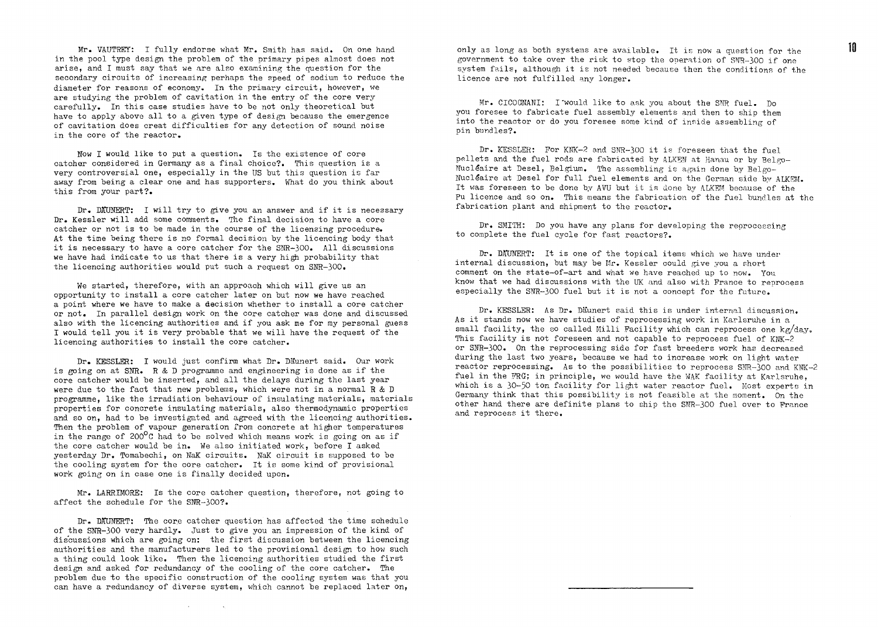Mr. VAUTREY: I fully endorse what Mr. Smith has said. On one hand in the pool type design the problem of the primary pipes almost does not arise, and I must say that we are also examining the question for the secondary circuits of increasing perhaps the speed of sodium to reduce the diameter for reasons of economy. In the primary circuit, however, we are studying the problem of cavitation in the entry of the core very carefully. In this case studies have to be not only theoretical but have to apply above all to a given type of design because the emergence of cavitation does creat difficulties for any detection of sound noise in the core of the reactor.

How I would like to put a question. Is the existence of core catcher considered in Germany as a final choice?. This question is a very controversial one, especially in the US but this question is far away from being a clear one and has supporters. What do you think about this from your part?.

Dr. DAUNERT: I will try to give you an answer and if it is necessary Dr. Kessler will add some comments. The final decision to have a core catcher or not is to be made in the course of the licensing procedure. At the time being there is no formal decision by the licencing body that it is necessary to have a core catcher for the SNR-300. All discussions we have had indicate to us that there is a very high probability that the licencing authorities would put such a request on SWR-300.

We started, therefore, with an approach which will give us an opportunity to install a core catcher later on but now we have reached a point where we have to make a decision whether to install a core catcher or not. In parallel design work on the core catcher was done and discussed also with the licencing authorities and if you ask me for my personal guess I would tell you it is very probable that we will have the request of the licencing authorities to install the core catcher.

Dr. KESSLER: I would just confirm what Dr. Däunert said. Our work is going on at SUR. R & D programme and engineering is done as if the core catcher would be inserted, and all the delays during the last year were due to the fact that new problems, which were not in a normal R & D programme, like the irradiation behaviour of insulating materials, materials properties for concrete insulating materials, also thermodynamic properties and so on, had to be investigated and agreed with the licencing authorities. Then the problem of vapour generation from concrete at higher temperatures in the range of 200 $^{\circ}$ C had to be solved which means work is going on as if the core catcher would be in. We also initiated work, before I asked yesterday Dr. Tomabechi, on BaK circuits. NaK circuit is supposed to be the cooling system for the core catcher. It is some kind of provisional work going on in case one is finally decided upon.

Mr. LARRIMORE: Is the core catcher question, therefore, not going to affect the schedule for the SNR-300?.

Dr. DAUNERT: The core catcher question has affected the time schedule of the SNR-3OO very hardly. Just to give you an impression of the kind of discussions which are going on: the first discussion between the licencing authorities and the manufacturers led to the provisional design to how such a thing could look like. Then the licencing authorities studied the first design and asked for redundancy of the cooling of the core catcher. The problem due to the specific construction of the cooling system was that you can have a redundancy of diverse system, which cannot be replaced later on,

 $\sim$   $\sim$ 

 $\sim$ 

only as long as both systems are available. It is now a question for the government to take over the risk to stop the operation of SNR-300 if one system fails, although it is not needed because then the conditions of the licence are not fulfilled any longer.

10

Mr. CICOGNANI: I would like to ask you about the SNR fuel. Do you foresee to fabricate fuel assembly elements and then to ship them into the reactor or do you foresee some kind of inside assembling of pin bundles?.

Dr. KESSLER: For KHK-2 and SNR-3OO it is foreseen that the fuel pellets and the fuel rods are fabricated by ALKEN at Hanau or by Belgo-Nucleaire at Desel, Belgium. The assembling is again done by Belgo-Mucle'aire at Desel for full fuel elements and on the German side by ALKRM. It was foreseen to be done by AVU but it is done by ALKEM because of the Pu licence and so on. This means the fabrication of the fuel bundles at the fabrication plant and shipment to the reactor.

Dr. SMITH: Do you have any plans for developing the reprocessing to complete the fuel cycle for fast reactors?.

Dr. DAUNERT: It is one of the topical items which we have under internal discussion, but may be Mr. Kessler could give you a short comment on the state-of-art and what we have reached up to now. You know that we had discussions with the UK and also with Prance to reprocess especially the SWR-3OO fuel but it is not a concept for the future.

Dr. KESSLER: As Dr. Däunert said this is under internal discussion. As it stands now we have studies of reprocessing work in Karlsruhe in a small facility, the so called Milli Facility which can reprocess one  $kg/dav$ . This facility is not foreseen and not capable to reprocess fuel of  $KNK-2$ or SNR-300. On the reprocessing side for fast breeders work has decreased during the last two years, because we had to increase work on light water reactor reprocessing. As to the possibilities to reprocess SNR-3OO and KNK-2 fuel in the FRG; in principle, we would have the WAK facility at Karlsruhe. which is a 30-50 ton facility for light water reactor fuel. Most experts in Germany think that this possibility is not feasible at the moment. On the other hand there are definite plans to ship the SW?-300 fuel over to France and reprocess it there.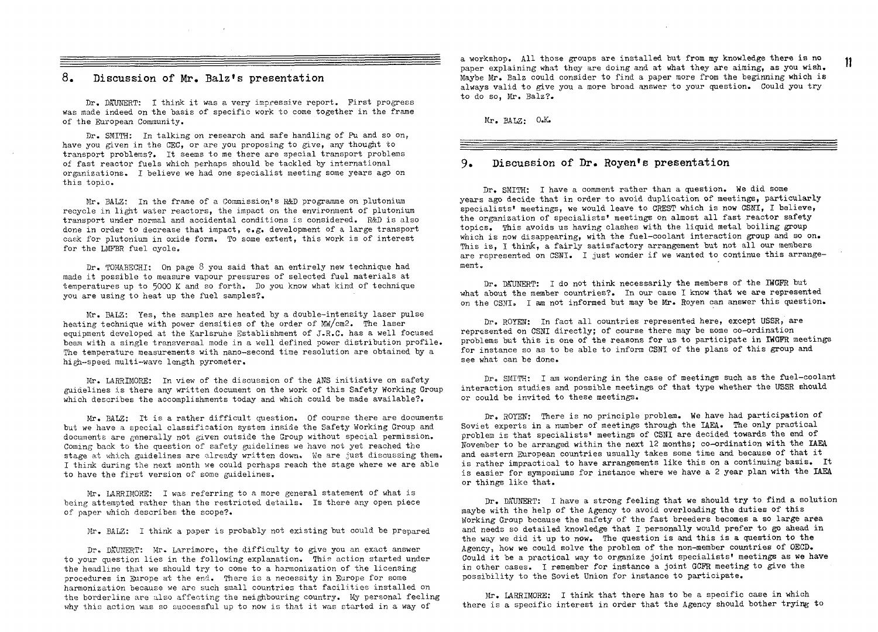### 8. Discussion of Mr. Balz's presentation

 $\mathcal{L}_{\text{max}}$  , and  $\mathcal{L}_{\text{max}}$ 

Dr. DATMERT: I think it was a very impressive report. First progress was made indeed on the basis of specific work to come together in the frame of the European Community.

Dr. SMITH: In talking on research and safe handling of Pu and so on, have you given in the CEC, or are you proposing to give, any thought to transport problems?. It seems to me there are special transport problems of fast reactor fuels which perhaps should be tackled by international organizations. I believe we had one specialist meeting some years ago on this topic.

Mr. BALZ: In the frame of a Commission's R&D programme on plutonium recycle in light water reactors, the impact on the environment of plutonium transport under normal and accidental conditions is considered. R&D is also done in order to decrease that impact, e.g. development of a large transport cask for plutonium in oxide form. To some extent, this work is of interest for the LMPBR fuel cycle.

Dr. TOMABSCHI: On page 8 you said that an entirely new technique had made it possible to measure vapour pressures of selected fuel materials at temperatures up to 5000 K and so forth. Do you know what kind of technique you are using to heat up the fuel samples?.

Mr. BALZ: Yes, the samples are heated by a double-intensity laser pulse heating technique with power densities of the order of Mw/cm2. The laser equipment developed at the Karlsruhe Establishment of J.R.C. has a well focused beam with a single transversal mode in a well defined power distribution profile. The temperature measurements with nano-second time resolution are obtained by a high-speed multi-wave length pyrometer.

Mr. LARRIMORE: In view of the discussion of the ANS initiative on safety guidelines is there any written document on the work of this Safety Working Group which describes the accomplishments today and which could be made available?.

Mr. BALZ: It is a rather difficult question. Of course there are documents but we have a special classification system inside the Safety Working Group and documents are generally not given outside the Group without special permission. Coming back to the question of safety guidelines we have not yet reached the stage at which guidelines are already written down. We are just discussing them. I think during the next month we could perhaps reach the stage where we are able to have the first version of some guidelines.

Mr, LARRIMORE: I was referring to a more general statement of what is being attempted rather than the restricted details. Is there any open piece of paper which describes the scope?.

Mr. BALZ: I think a paper is probably not existing but could be prepared

Dr. DAUNERT: Mr. Larrimore, the difficulty to give you an exact answer to your question lies in the following explanation. This action started under the headline that we should try to come to a harmonization of the licensing procedures in Europe at the end. There is a necessity in Europe for some harmonization because we are such small countries that facilities installed on the borderline are also affecting the neighbouring country. My personal feeling why this action was so successful up to now is that it was started in a way of

a workshop. All those groups are installed but from my knowledge there is no paper explaining what they are doing and at what they are aiming, as you wish. Maybe Mr. Balz could consider to find a paper more from the beginning which is always valid to give you a more broad answer to your question. Could you try to do so, Mr. Balz?.

 $\sim 10^7$ 

Mr. BALZ: O.K.

#### 9. Discussion of Dr. Royen's presentation

Dr. SMITH: I have a comment rather than a question. We did some years ago decide that in order to avoid duplication of meetings, particularly specialists' meetings, we would leave to CREST which is now CSNT, I believe, the organization of specialists' meetings on almost all fast reactor safety topics. This avoids us having clashes with the liquid metal boiling group which is now disappearing, with the fuel-coolant interaction group and so on. This is, I think, a fairly satisfactory arrangement but not all our members are represented on CSNI. I just wonder if we wanted to continue this arrangement .

Dr. DAUNERT: I do not think necessarily the members of the IWGFR but what about the member countries?. In our case I know that we are represented on the CSNI. I am not informed but may be Mr. Royen can answer this question.

Dr. ROYEN: In fact all countries represented here, except USSR, are represented on CSNI directly; of course there may be some co-ordination problems but this is one of the reasons for us to participate in IWGFR meetings for instance so as to be able to inform CSNI of the plans of this group and see what can be done.

Dr. SMITH: I am wondering in the case of meetings such as the fuel-coolant interaction studies and possible meetings of that type whether the USSR should or could be invited to these meetings.

Dr. ROYEN: There is no principle problem. We have had participation of Soviet experts in a number of meetings through the IAEA. The only practical problem is that specialists' meetings of CSNI are decided towards the end of November to be arranged within the next 12 months; co-ordination with the IAEA and eastern European countries usually takes some time and because of that it is rather impractical to have arrangements like this on a continuing basis. It is easier for symposiums for instance where we have a 2 year plan with the IAEA or things like that.

Dr. DAUMERT: I have a strong feeling that we should try to find a solution maybe with the help of the Agency to avoid overloading the duties of this Working Group because the safety of the fast breeders becomes a so large area and needs so detailed knowledge that I personally would prefer to go ahead in the way we did it up to now. The question is and this is a question to the Agency, how we could solve the problem of the non-member countries of OECD. Could it be a practical way to organize joint specialists' meetings as we have in other cases. I remember for instance a joint GCFR meeting to give the possibility to the Soviet Union for instance to participate.

Mr. LARRIMORE: I think that there has to be a specific case in which there is a specific interest in order that the Agency should bother trying to 11